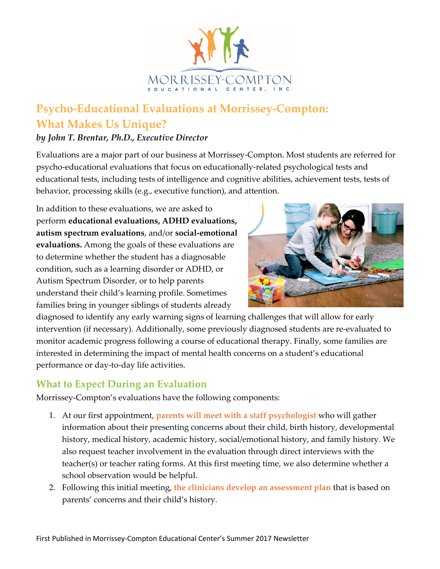

## **Psycho-Educational Evaluations at Morrissey-Compton: What Makes Us Unique?**

## *by John T. Brentar, Ph.D., Executive Director*

Evaluations are a major part of our business at Morrissey-Compton. Most students are referred for psycho-educational evaluations that focus on educationally-related psychological tests and educational tests, including tests of intelligence and cognitive abilities, achievement tests, tests of behavior, processing skills (e.g., executive function), and attention.

In addition to these evaluations, we are asked to perform **educational evaluations, ADHD evaluations, autism spectrum evaluations**, and/or **social-emotional evaluations.** Among the goals of these evaluations are to determine whether the student has a diagnosable condition, such as a learning disorder or ADHD, or Autism Spectrum Disorder, or to help parents understand their child's learning profile. Sometimes families bring in younger siblings of students already



diagnosed to identify any early warning signs of learning challenges that will allow for early intervention (if necessary). Additionally, some previously diagnosed students are re-evaluated to monitor academic progress following a course of educational therapy. Finally, some families are interested in determining the impact of mental health concerns on a student's educational performance or day-to-day life activities.

## **What to Expect During an Evaluation**

Morrissey-Compton's evaluations have the following components:

- 1. At our first appointment, **parents will meet with a staff psychologist** who will gather information about their presenting concerns about their child, birth history, developmental history, medical history, academic history, social/emotional history, and family history. We also request teacher involvement in the evaluation through direct interviews with the teacher(s) or teacher rating forms. At this first meeting time, we also determine whether a school observation would be helpful.
- 2. Following this initial meeting, **the clinicians develop an assessment plan** that is based on parents' concerns and their child's history.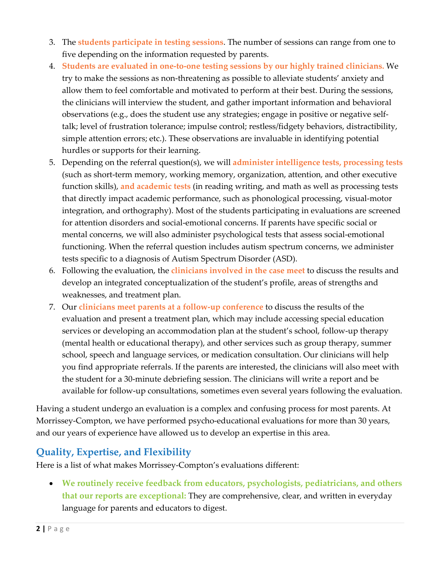- 3. The **students participate in testing sessions**. The number of sessions can range from one to five depending on the information requested by parents.
- 4. **Students are evaluated in one-to-one testing sessions by our highly trained clinicians.** We try to make the sessions as non-threatening as possible to alleviate students' anxiety and allow them to feel comfortable and motivated to perform at their best. During the sessions, the clinicians will interview the student, and gather important information and behavioral observations (e.g., does the student use any strategies; engage in positive or negative selftalk; level of frustration tolerance; impulse control; restless/fidgety behaviors, distractibility, simple attention errors; etc.). These observations are invaluable in identifying potential hurdles or supports for their learning.
- 5. Depending on the referral question(s), we will **administer intelligence tests, processing tests** (such as short-term memory, working memory, organization, attention, and other executive function skills), **and academic tests** (in reading writing, and math as well as processing tests that directly impact academic performance, such as phonological processing, visual-motor integration, and orthography). Most of the students participating in evaluations are screened for attention disorders and social-emotional concerns. If parents have specific social or mental concerns, we will also administer psychological tests that assess social-emotional functioning. When the referral question includes autism spectrum concerns, we administer tests specific to a diagnosis of Autism Spectrum Disorder (ASD).
- 6. Following the evaluation, the **clinicians involved in the case meet** to discuss the results and develop an integrated conceptualization of the student's profile, areas of strengths and weaknesses, and treatment plan.
- 7. Our **clinicians meet parents at a follow-up conference** to discuss the results of the evaluation and present a treatment plan, which may include accessing special education services or developing an accommodation plan at the student's school, follow-up therapy (mental health or educational therapy), and other services such as group therapy, summer school, speech and language services, or medication consultation. Our clinicians will help you find appropriate referrals. If the parents are interested, the clinicians will also meet with the student for a 30-minute debriefing session. The clinicians will write a report and be available for follow-up consultations, sometimes even several years following the evaluation.

Having a student undergo an evaluation is a complex and confusing process for most parents. At Morrissey-Compton, we have performed psycho-educational evaluations for more than 30 years, and our years of experience have allowed us to develop an expertise in this area.

## **Quality, Expertise, and Flexibility**

Here is a list of what makes Morrissey-Compton's evaluations different:

• **We routinely receive feedback from educators, psychologists, pediatricians, and others that our reports are exceptional:** They are comprehensive, clear, and written in everyday language for parents and educators to digest.